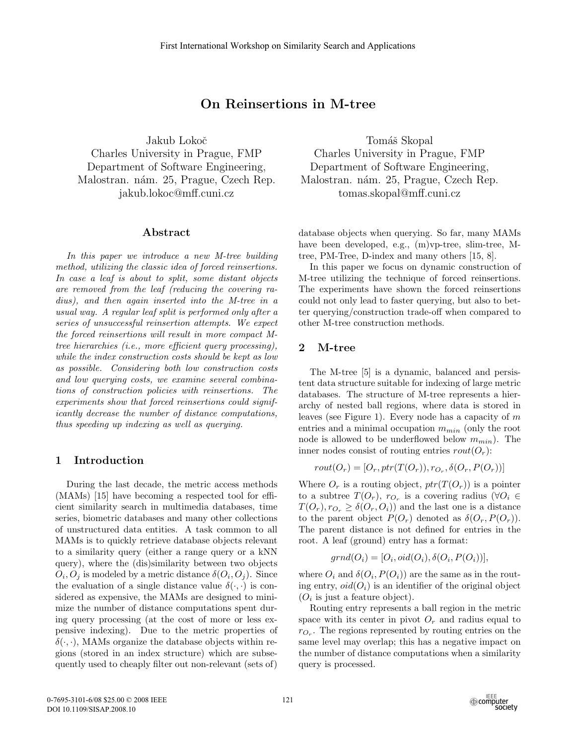# On Reinsertions in M-tree

Jakub Lokoč Charles University in Prague, FMP Department of Software Engineering, Malostran. nám. 25, Prague, Czech Rep. jakub.lokoc@mff.cuni.cz

## Abstract

In this paper we introduce a new M-tree building method, utilizing the classic idea of forced reinsertions. In case a leaf is about to split, some distant objects are removed from the leaf (reducing the covering radius), and then again inserted into the M-tree in a usual way. A regular leaf split is performed only after a series of unsuccessful reinsertion attempts. We expect the forced reinsertions will result in more compact Mtree hierarchies (i.e., more efficient query processing), while the index construction costs should be kept as low as possible. Considering both low construction costs and low querying costs, we examine several combinations of construction policies with reinsertions. The experiments show that forced reinsertions could significantly decrease the number of distance computations, thus speeding up indexing as well as querying.

## 1 Introduction

During the last decade, the metric access methods (MAMs) [15] have becoming a respected tool for efficient similarity search in multimedia databases, time series, biometric databases and many other collections of unstructured data entities. A task common to all MAMs is to quickly retrieve database objects relevant to a similarity query (either a range query or a kNN query), where the (dis)similarity between two objects  $O_i$ ,  $O_j$  is modeled by a metric distance  $\delta(O_i, O_j)$ . Since the evaluation of a single distance value  $\delta(\cdot, \cdot)$  is considered as expensive, the MAMs are designed to minimize the number of distance computations spent during query processing (at the cost of more or less expensive indexing). Due to the metric properties of  $\delta(\cdot, \cdot)$ , MAMs organize the database objects within regions (stored in an index structure) which are subsequently used to cheaply filter out non-relevant (sets of)

Tomáš Skopal Charles University in Prague, FMP Department of Software Engineering, Malostran. nám. 25, Prague, Czech Rep. tomas.skopal@mff.cuni.cz

database objects when querying. So far, many MAMs have been developed, e.g., (m)vp-tree, slim-tree, Mtree, PM-Tree, D-index and many others [15, 8].

In this paper we focus on dynamic construction of M-tree utilizing the technique of forced reinsertions. The experiments have shown the forced reinsertions could not only lead to faster querying, but also to better querying/construction trade-off when compared to other M-tree construction methods.

## 2 M-tree

The M-tree [5] is a dynamic, balanced and persistent data structure suitable for indexing of large metric databases. The structure of M-tree represents a hierarchy of nested ball regions, where data is stored in leaves (see Figure 1). Every node has a capacity of  $m$ entries and a minimal occupation  $m_{min}$  (only the root node is allowed to be underflowed below  $m_{min}$ ). The inner nodes consist of routing entries  $rout(O_r)$ :

$$
rout(O_r) = [O_r,ptr(T(O_r)),r_{O_r},\delta(O_r,P(O_r))]
$$

Where  $O_r$  is a routing object,  $ptr(T(O_r))$  is a pointer to a subtree  $T(O_r)$ ,  $r_{O_r}$  is a covering radius  $(\forall O_i \in$  $T(O_r), r_{O_r} \geq \delta(O_r, O_i)$  and the last one is a distance to the parent object  $P(O_r)$  denoted as  $\delta(O_r, P(O_r)).$ The parent distance is not defined for entries in the root. A leaf (ground) entry has a format:

$$
grnd(O_i) = [O_i, oid(O_i), \delta(O_i, P(O_i))],
$$

where  $O_i$  and  $\delta(O_i, P(O_i))$  are the same as in the routing entry,  $oid(O_i)$  is an identifier of the original object  $(O_i$  is just a feature object).

Routing entry represents a ball region in the metric space with its center in pivot  $O<sub>r</sub>$  and radius equal to  $r_{O_r}$ . The regions represented by routing entries on the same level may overlap; this has a negative impact on the number of distance computations when a similarity query is processed.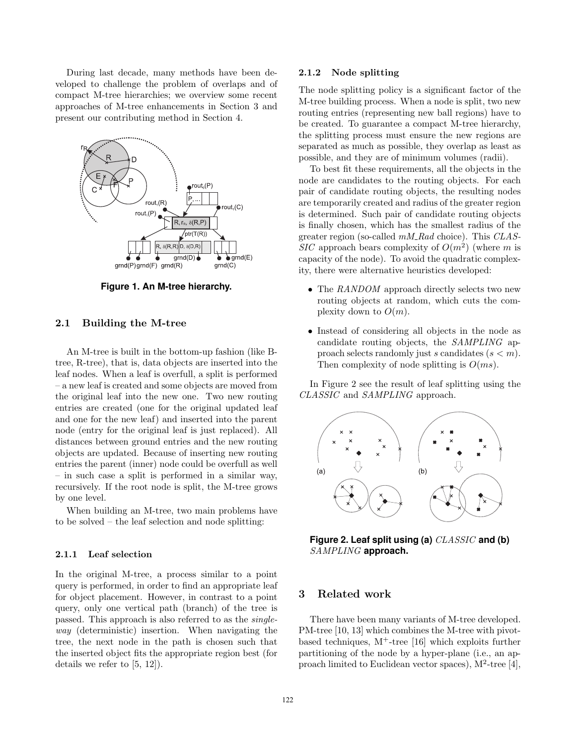During last decade, many methods have been developed to challenge the problem of overlaps and of compact M-tree hierarchies; we overview some recent approaches of M-tree enhancements in Section 3 and present our contributing method in Section 4.



**Figure 1. An M-tree hierarchy.**

### 2.1 Building the M-tree

An M-tree is built in the bottom-up fashion (like Btree, R-tree), that is, data objects are inserted into the leaf nodes. When a leaf is overfull, a split is performed – a new leaf is created and some objects are moved from the original leaf into the new one. Two new routing entries are created (one for the original updated leaf and one for the new leaf) and inserted into the parent node (entry for the original leaf is just replaced). All distances between ground entries and the new routing objects are updated. Because of inserting new routing entries the parent (inner) node could be overfull as well – in such case a split is performed in a similar way, recursively. If the root node is split, the M-tree grows by one level.

When building an M-tree, two main problems have to be solved – the leaf selection and node splitting:

### 2.1.1 Leaf selection

In the original M-tree, a process similar to a point query is performed, in order to find an appropriate leaf for object placement. However, in contrast to a point query, only one vertical path (branch) of the tree is passed. This approach is also referred to as the singleway (deterministic) insertion. When navigating the tree, the next node in the path is chosen such that the inserted object fits the appropriate region best (for details we refer to [5, 12]).

### 2.1.2 Node splitting

The node splitting policy is a significant factor of the M-tree building process. When a node is split, two new routing entries (representing new ball regions) have to be created. To guarantee a compact M-tree hierarchy, the splitting process must ensure the new regions are separated as much as possible, they overlap as least as possible, and they are of minimum volumes (radii).

To best fit these requirements, all the objects in the node are candidates to the routing objects. For each pair of candidate routing objects, the resulting nodes are temporarily created and radius of the greater region is determined. Such pair of candidate routing objects is finally chosen, which has the smallest radius of the greater region (so-called  $mM$  Rad choice). This CLAS-SIC approach bears complexity of  $O(m^2)$  (where m is capacity of the node). To avoid the quadratic complexity, there were alternative heuristics developed:

- The RANDOM approach directly selects two new routing objects at random, which cuts the complexity down to  $O(m)$ .
- Instead of considering all objects in the node as candidate routing objects, the SAMPLING approach selects randomly just s candidates  $(s < m)$ . Then complexity of node splitting is  $O(ms)$ .

In Figure 2 see the result of leaf splitting using the CLASSIC and SAMPLING approach.



**Figure 2. Leaf split using (a)** CLASSIC **and (b)** SAMPLING **approach.**

## 3 Related work

There have been many variants of M-tree developed. PM-tree [10, 13] which combines the M-tree with pivotbased techniques,  $M^+$ -tree [16] which exploits further partitioning of the node by a hyper-plane (i.e., an approach limited to Euclidean vector spaces),  $M^2$ -tree [4],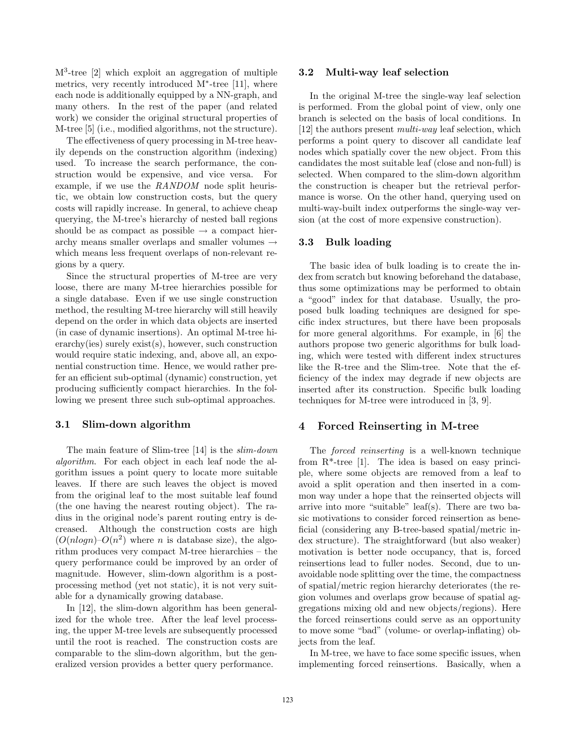M<sup>3</sup> -tree [2] which exploit an aggregation of multiple metrics, very recently introduced M<sup>∗</sup> -tree [11], where each node is additionally equipped by a NN-graph, and many others. In the rest of the paper (and related work) we consider the original structural properties of M-tree [5] (i.e., modified algorithms, not the structure).

The effectiveness of query processing in M-tree heavily depends on the construction algorithm (indexing) used. To increase the search performance, the construction would be expensive, and vice versa. For example, if we use the RANDOM node split heuristic, we obtain low construction costs, but the query costs will rapidly increase. In general, to achieve cheap querying, the M-tree's hierarchy of nested ball regions should be as compact as possible  $\rightarrow$  a compact hierarchy means smaller overlaps and smaller volumes  $\rightarrow$ which means less frequent overlaps of non-relevant regions by a query.

Since the structural properties of M-tree are very loose, there are many M-tree hierarchies possible for a single database. Even if we use single construction method, the resulting M-tree hierarchy will still heavily depend on the order in which data objects are inserted (in case of dynamic insertions). An optimal M-tree hierarchy(ies) surely exist(s), however, such construction would require static indexing, and, above all, an exponential construction time. Hence, we would rather prefer an efficient sub-optimal (dynamic) construction, yet producing sufficiently compact hierarchies. In the following we present three such sub-optimal approaches.

#### 3.1 Slim-down algorithm

The main feature of Slim-tree [14] is the slim-down algorithm. For each object in each leaf node the algorithm issues a point query to locate more suitable leaves. If there are such leaves the object is moved from the original leaf to the most suitable leaf found (the one having the nearest routing object). The radius in the original node's parent routing entry is decreased. Although the construction costs are high  $(O(nlog n) – O(n^2)$  where *n* is database size), the algorithm produces very compact M-tree hierarchies – the query performance could be improved by an order of magnitude. However, slim-down algorithm is a postprocessing method (yet not static), it is not very suitable for a dynamically growing database.

In [12], the slim-down algorithm has been generalized for the whole tree. After the leaf level processing, the upper M-tree levels are subsequently processed until the root is reached. The construction costs are comparable to the slim-down algorithm, but the generalized version provides a better query performance.

### 3.2 Multi-way leaf selection

In the original M-tree the single-way leaf selection is performed. From the global point of view, only one branch is selected on the basis of local conditions. In [12] the authors present multi-way leaf selection, which performs a point query to discover all candidate leaf nodes which spatially cover the new object. From this candidates the most suitable leaf (close and non-full) is selected. When compared to the slim-down algorithm the construction is cheaper but the retrieval performance is worse. On the other hand, querying used on multi-way-built index outperforms the single-way version (at the cost of more expensive construction).

#### 3.3 Bulk loading

The basic idea of bulk loading is to create the index from scratch but knowing beforehand the database, thus some optimizations may be performed to obtain a "good" index for that database. Usually, the proposed bulk loading techniques are designed for specific index structures, but there have been proposals for more general algorithms. For example, in [6] the authors propose two generic algorithms for bulk loading, which were tested with different index structures like the R-tree and the Slim-tree. Note that the efficiency of the index may degrade if new objects are inserted after its construction. Specific bulk loading techniques for M-tree were introduced in [3, 9].

#### 4 Forced Reinserting in M-tree

The forced reinserting is a well-known technique from R\*-tree [1]. The idea is based on easy principle, where some objects are removed from a leaf to avoid a split operation and then inserted in a common way under a hope that the reinserted objects will arrive into more "suitable" leaf(s). There are two basic motivations to consider forced reinsertion as beneficial (considering any B-tree-based spatial/metric index structure). The straightforward (but also weaker) motivation is better node occupancy, that is, forced reinsertions lead to fuller nodes. Second, due to unavoidable node splitting over the time, the compactness of spatial/metric region hierarchy deteriorates (the region volumes and overlaps grow because of spatial aggregations mixing old and new objects/regions). Here the forced reinsertions could serve as an opportunity to move some "bad" (volume- or overlap-inflating) objects from the leaf.

In M-tree, we have to face some specific issues, when implementing forced reinsertions. Basically, when a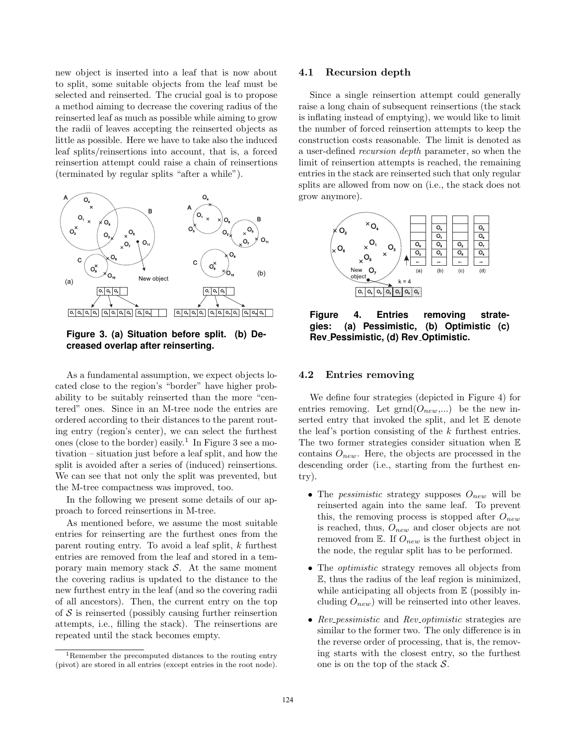new object is inserted into a leaf that is now about to split, some suitable objects from the leaf must be selected and reinserted. The crucial goal is to propose a method aiming to decrease the covering radius of the reinserted leaf as much as possible while aiming to grow the radii of leaves accepting the reinserted objects as little as possible. Here we have to take also the induced leaf splits/reinsertions into account, that is, a forced reinsertion attempt could raise a chain of reinsertions (terminated by regular splits "after a while").



**Figure 3. (a) Situation before split. (b) Decreased overlap after reinserting.**

As a fundamental assumption, we expect objects located close to the region's "border" have higher probability to be suitably reinserted than the more "centered" ones. Since in an M-tree node the entries are ordered according to their distances to the parent routing entry (region's center), we can select the furthest ones (close to the border) easily.<sup>1</sup> In Figure 3 see a motivation – situation just before a leaf split, and how the split is avoided after a series of (induced) reinsertions. We can see that not only the split was prevented, but the M-tree compactness was improved, too.

In the following we present some details of our approach to forced reinsertions in M-tree.

As mentioned before, we assume the most suitable entries for reinserting are the furthest ones from the parent routing entry. To avoid a leaf split, k furthest entries are removed from the leaf and stored in a temporary main memory stack  $S$ . At the same moment the covering radius is updated to the distance to the new furthest entry in the leaf (and so the covering radii of all ancestors). Then, the current entry on the top of  $S$  is reinserted (possibly causing further reinsertion attempts, i.e., filling the stack). The reinsertions are repeated until the stack becomes empty.

## 4.1 Recursion depth

Since a single reinsertion attempt could generally raise a long chain of subsequent reinsertions (the stack is inflating instead of emptying), we would like to limit the number of forced reinsertion attempts to keep the construction costs reasonable. The limit is denoted as a user-defined recursion depth parameter, so when the limit of reinsertion attempts is reached, the remaining entries in the stack are reinserted such that only regular splits are allowed from now on (i.e., the stack does not grow anymore).



**Figure 4. Entries removing strategies: (a) Pessimistic, (b) Optimistic (c) Rev Pessimistic, (d) Rev Optimistic.**

#### 4.2 Entries removing

We define four strategies (depicted in Figure 4) for entries removing. Let  $\text{grad}(O_{new},...)$  be the new inserted entry that invoked the split, and let E denote the leaf's portion consisting of the  $k$  furthest entries. The two former strategies consider situation when E contains  $O_{new}$ . Here, the objects are processed in the descending order (i.e., starting from the furthest entry).

- The *pessimistic* strategy supposes  $O_{new}$  will be reinserted again into the same leaf. To prevent this, the removing process is stopped after  $O_{new}$ is reached, thus,  $O_{new}$  and closer objects are not removed from  $E$ . If  $O_{new}$  is the furthest object in the node, the regular split has to be performed.
- The *optimistic* strategy removes all objects from E, thus the radius of the leaf region is minimized, while anticipating all objects from  $E$  (possibly including  $O_{new}$ ) will be reinserted into other leaves.
- $Rev_{\tau}$  pessimistic and  $Rev_{\tau}$  optimistic strategies are similar to the former two. The only difference is in the reverse order of processing, that is, the removing starts with the closest entry, so the furthest one is on the top of the stack  $S$ .

<sup>1</sup>Remember the precomputed distances to the routing entry (pivot) are stored in all entries (except entries in the root node).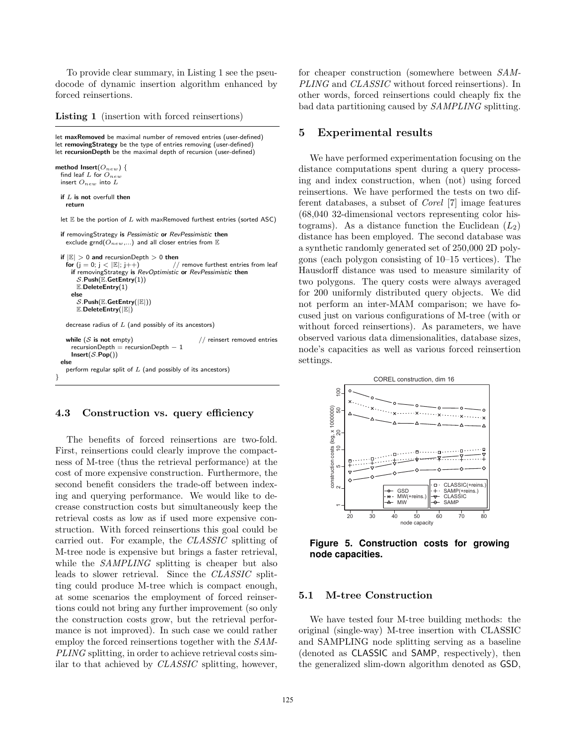To provide clear summary, in Listing 1 see the pseudocode of dynamic insertion algorithm enhanced by forced reinsertions.

Listing 1 (insertion with forced reinsertions)

let maxRemoved be maximal number of removed entries (user-defined) let removingStrategy be the type of entries removing (user-defined) let recursionDepth be the maximal depth of recursion (user-defined)

```
method \mathsf{Insert}(O_{new}) {
find leaf L for O_{new}insert \mathcal{O}_{new} into Lif L is not overfull then
```
return

}

let  $E$  be the portion of  $L$  with maxRemoved furthest entries (sorted ASC)

if removingStrategy is Pessimistic or RevPessimistic then exclude grnd $(O_{new},...)$  and all closer entries from  $\mathbb E$ 

```
if |E| > 0 and recursionDepth > 0 then
 for (j = 0; j < |\mathbb{E}|; j++) // remove furthest entries from leaf
  if removingStrategy is RevOptimistic or RevPessimistic then
     \mathcal{S}.Push(\mathbb{E}.\textsf{GetEntry}(1))E.DeleteEntry(1)
  else
    S.Push(\mathbb{E}.GetEntry(\mathbb{E})))E.DeleteEntry(|E|)decrease radius of L (and possibly of its ancestors)
while (S is not empty) \frac{1}{s} // reinsert removed entries
  recursionDepth = recursionDepth - 1
```

```
Insert(S.Pop())else
perform regular split of L (and possibly of its ancestors)
```
## 4.3 Construction vs. query efficiency

The benefits of forced reinsertions are two-fold. First, reinsertions could clearly improve the compactness of M-tree (thus the retrieval performance) at the cost of more expensive construction. Furthermore, the second benefit considers the trade-off between indexing and querying performance. We would like to decrease construction costs but simultaneously keep the retrieval costs as low as if used more expensive construction. With forced reinsertions this goal could be carried out. For example, the CLASSIC splitting of M-tree node is expensive but brings a faster retrieval, while the *SAMPLING* splitting is cheaper but also leads to slower retrieval. Since the CLASSIC splitting could produce M-tree which is compact enough, at some scenarios the employment of forced reinsertions could not bring any further improvement (so only the construction costs grow, but the retrieval performance is not improved). In such case we could rather employ the forced reinsertions together with the SAM-PLING splitting, in order to achieve retrieval costs similar to that achieved by CLASSIC splitting, however,

for cheaper construction (somewhere between SAM-PLING and CLASSIC without forced reinsertions). In other words, forced reinsertions could cheaply fix the bad data partitioning caused by SAMPLING splitting.

### 5 Experimental results

We have performed experimentation focusing on the distance computations spent during a query processing and index construction, when (not) using forced reinsertions. We have performed the tests on two different databases, a subset of Corel [7] image features (68,040 32-dimensional vectors representing color histograms). As a distance function the Euclidean  $(L_2)$ distance has been employed. The second database was a synthetic randomly generated set of 250,000 2D polygons (each polygon consisting of 10–15 vertices). The Hausdorff distance was used to measure similarity of two polygons. The query costs were always averaged for 200 uniformly distributed query objects. We did not perform an inter-MAM comparison; we have focused just on various configurations of M-tree (with or without forced reinsertions). As parameters, we have observed various data dimensionalities, database sizes, node's capacities as well as various forced reinsertion settings.



**Figure 5. Construction costs for growing node capacities.**

#### 5.1 M-tree Construction

We have tested four M-tree building methods: the original (single-way) M-tree insertion with CLASSIC and SAMPLING node splitting serving as a baseline (denoted as CLASSIC and SAMP, respectively), then the generalized slim-down algorithm denoted as GSD,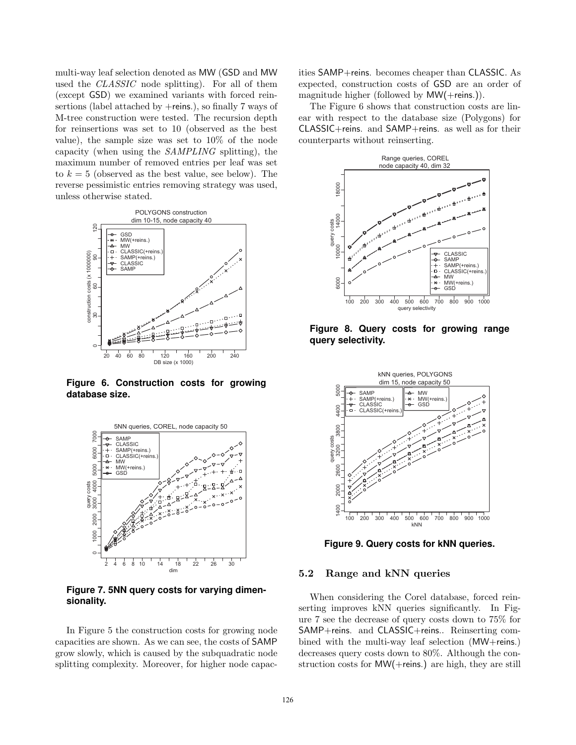multi-way leaf selection denoted as MW (GSD and MW used the CLASSIC node splitting). For all of them (except GSD) we examined variants with forced reinsertions (label attached by  $+$ reins.), so finally 7 ways of M-tree construction were tested. The recursion depth for reinsertions was set to 10 (observed as the best value), the sample size was set to 10% of the node capacity (when using the SAMPLING splitting), the maximum number of removed entries per leaf was set to  $k = 5$  (observed as the best value, see below). The reverse pessimistic entries removing strategy was used, unless otherwise stated.



**Figure 6. Construction costs for growing database size.**



**Figure 7. 5NN query costs for varying dimensionality.**

In Figure 5 the construction costs for growing node capacities are shown. As we can see, the costs of SAMP grow slowly, which is caused by the subquadratic node splitting complexity. Moreover, for higher node capacities SAMP+reins. becomes cheaper than CLASSIC. As expected, construction costs of GSD are an order of magnitude higher (followed by MW(+reins.)).

The Figure 6 shows that construction costs are linear with respect to the database size (Polygons) for CLASSIC+reins. and SAMP+reins. as well as for their counterparts without reinserting.



**Figure 8. Query costs for growing range query selectivity.**



**Figure 9. Query costs for kNN queries.**

## 5.2 Range and kNN queries

When considering the Corel database, forced reinserting improves kNN queries significantly. In Figure 7 see the decrease of query costs down to 75% for SAMP+reins. and CLASSIC+reins.. Reinserting combined with the multi-way leaf selection (MW+reins.) decreases query costs down to 80%. Although the construction costs for MW(+reins.) are high, they are still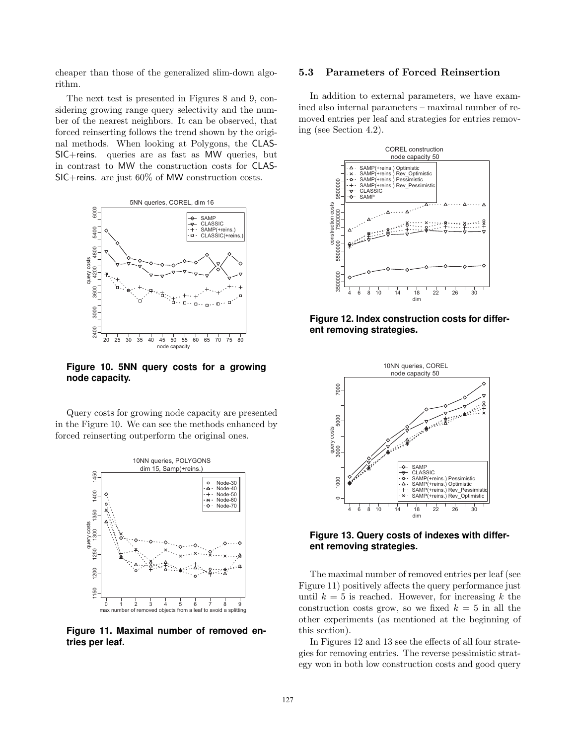cheaper than those of the generalized slim-down algorithm.

The next test is presented in Figures 8 and 9, considering growing range query selectivity and the number of the nearest neighbors. It can be observed, that forced reinserting follows the trend shown by the original methods. When looking at Polygons, the CLAS-SIC+reins. queries are as fast as MW queries, but in contrast to MW the construction costs for CLAS-SIC+reins. are just 60% of MW construction costs.



**Figure 10. 5NN query costs for a growing node capacity.**

Query costs for growing node capacity are presented in the Figure 10. We can see the methods enhanced by forced reinserting outperform the original ones.



**Figure 11. Maximal number of removed entries per leaf.**

## 5.3 Parameters of Forced Reinsertion

In addition to external parameters, we have examined also internal parameters – maximal number of removed entries per leaf and strategies for entries removing (see Section 4.2).



**Figure 12. Index construction costs for different removing strategies.**



**Figure 13. Query costs of indexes with different removing strategies.**

The maximal number of removed entries per leaf (see Figure 11) positively affects the query performance just until  $k = 5$  is reached. However, for increasing k the construction costs grow, so we fixed  $k = 5$  in all the other experiments (as mentioned at the beginning of this section).

In Figures 12 and 13 see the effects of all four strategies for removing entries. The reverse pessimistic strategy won in both low construction costs and good query